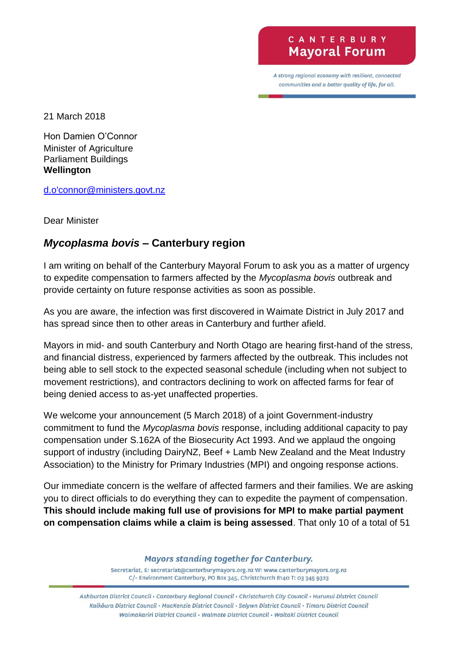## CANTERBURY **Mayoral Forum**

A strong regional economy with resilient, connected communities and a better quality of life, for all.

21 March 2018

Hon Damien O'Connor Minister of Agriculture Parliament Buildings **Wellington**

[d.o'connor@ministers.govt.nz](mailto:d.o)

Dear Minister

## *Mycoplasma bovis* **– Canterbury region**

I am writing on behalf of the Canterbury Mayoral Forum to ask you as a matter of urgency to expedite compensation to farmers affected by the *Mycoplasma bovis* outbreak and provide certainty on future response activities as soon as possible.

As you are aware, the infection was first discovered in Waimate District in July 2017 and has spread since then to other areas in Canterbury and further afield.

Mayors in mid- and south Canterbury and North Otago are hearing first-hand of the stress, and financial distress, experienced by farmers affected by the outbreak. This includes not being able to sell stock to the expected seasonal schedule (including when not subject to movement restrictions), and contractors declining to work on affected farms for fear of being denied access to as-yet unaffected properties.

We welcome your announcement (5 March 2018) of a joint Government-industry commitment to fund the *Mycoplasma bovis* response, including additional capacity to pay compensation under S.162A of the Biosecurity Act 1993. And we applaud the ongoing support of industry (including DairyNZ, Beef + Lamb New Zealand and the Meat Industry Association) to the Ministry for Primary Industries (MPI) and ongoing response actions.

Our immediate concern is the welfare of affected farmers and their families. We are asking you to direct officials to do everything they can to expedite the payment of compensation. **This should include making full use of provisions for MPI to make partial payment on compensation claims while a claim is being assessed**. That only 10 of a total of 51

**Mayors standing together for Canterbury.** 

Secretariat, E: secretariat@canterburymayors.org.nz W: www.canterburymayors.org.nz C/- Environment Canterbury, PO Box 345, Christchurch 8140 T: 03 345 9323

Ashburton District Council · Canterbury Regional Council · Christchurch City Council · Hurunui District Council Kaikoura District Council · MacKenzie District Council · Selywn District Council · Timaru District Council Waimakariri District Council · Waimate District Council · Waitaki District Council